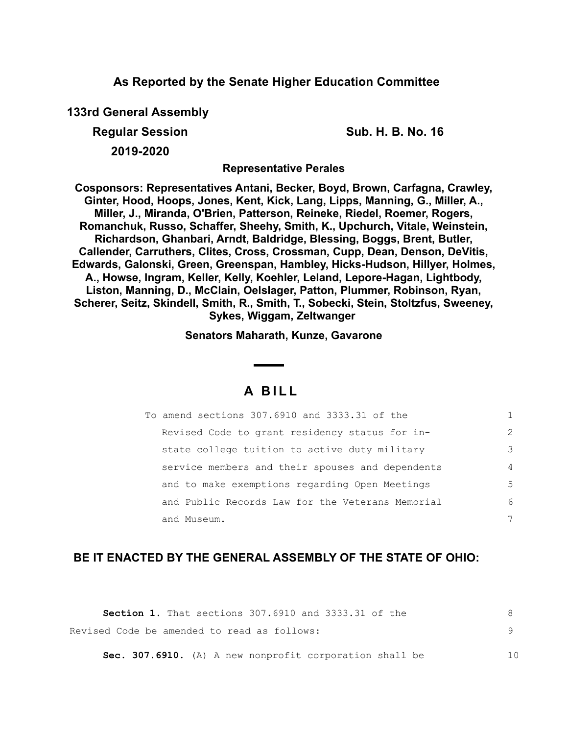### **As Reported by the Senate Higher Education Committee**

**133rd General Assembly**

**Regular Session Sub. H. B. No. 16**

**2019-2020**

**Representative Perales**

**Cosponsors: Representatives Antani, Becker, Boyd, Brown, Carfagna, Crawley, Ginter, Hood, Hoops, Jones, Kent, Kick, Lang, Lipps, Manning, G., Miller, A., Miller, J., Miranda, O'Brien, Patterson, Reineke, Riedel, Roemer, Rogers, Romanchuk, Russo, Schaffer, Sheehy, Smith, K., Upchurch, Vitale, Weinstein, Richardson, Ghanbari, Arndt, Baldridge, Blessing, Boggs, Brent, Butler, Callender, Carruthers, Clites, Cross, Crossman, Cupp, Dean, Denson, DeVitis, Edwards, Galonski, Green, Greenspan, Hambley, Hicks-Hudson, Hillyer, Holmes, A., Howse, Ingram, Keller, Kelly, Koehler, Leland, Lepore-Hagan, Lightbody, Liston, Manning, D., McClain, Oelslager, Patton, Plummer, Robinson, Ryan, Scherer, Seitz, Skindell, Smith, R., Smith, T., Sobecki, Stein, Stoltzfus, Sweeney, Sykes, Wiggam, Zeltwanger** 

**Senators Maharath, Kunze, Gavarone**

# **A B I L L**

| To amend sections 307.6910 and 3333.31 of the    |                |
|--------------------------------------------------|----------------|
| Revised Code to grant residency status for in-   | $\mathcal{L}$  |
| state college tuition to active duty military    | 3              |
| service members and their spouses and dependents | $\overline{4}$ |
| and to make exemptions regarding Open Meetings   | 5              |
| and Public Records Law for the Veterans Memorial | 6              |
| and Museum.                                      |                |

## **BE IT ENACTED BY THE GENERAL ASSEMBLY OF THE STATE OF OHIO:**

| <b>Section 1.</b> That sections 307.6910 and 3333.31 of the |     |
|-------------------------------------------------------------|-----|
| Revised Code be amended to read as follows:                 |     |
| Sec. 307.6910. (A) A new nonprofit corporation shall be     | 1 N |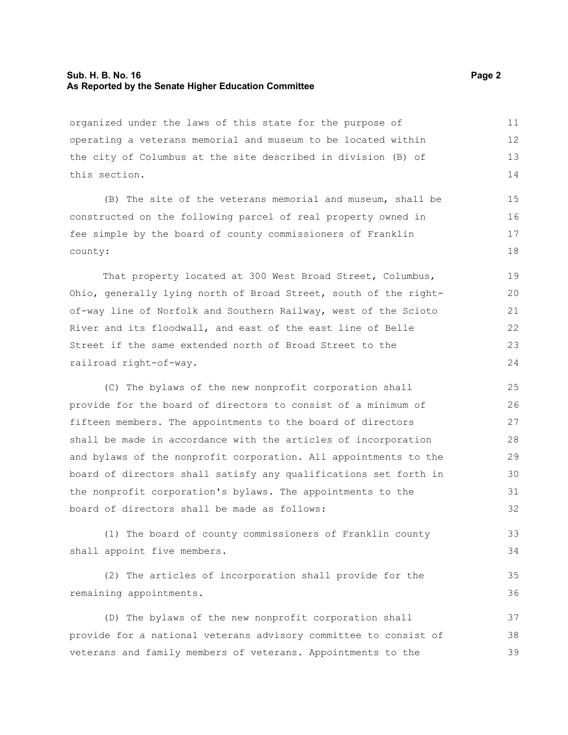#### **Sub. H. B. No. 16 Page 2 As Reported by the Senate Higher Education Committee**

organized under the laws of this state for the purpose of operating a veterans memorial and museum to be located within the city of Columbus at the site described in division (B) of this section. 11 12 13 14

(B) The site of the veterans memorial and museum, shall be constructed on the following parcel of real property owned in fee simple by the board of county commissioners of Franklin county:

That property located at 300 West Broad Street, Columbus, Ohio, generally lying north of Broad Street, south of the rightof-way line of Norfolk and Southern Railway, west of the Scioto River and its floodwall, and east of the east line of Belle Street if the same extended north of Broad Street to the railroad right-of-way.

(C) The bylaws of the new nonprofit corporation shall provide for the board of directors to consist of a minimum of fifteen members. The appointments to the board of directors shall be made in accordance with the articles of incorporation and bylaws of the nonprofit corporation. All appointments to the board of directors shall satisfy any qualifications set forth in the nonprofit corporation's bylaws. The appointments to the board of directors shall be made as follows: 25 26 27 28 29 30 31 32

(1) The board of county commissioners of Franklin county shall appoint five members.

(2) The articles of incorporation shall provide for the remaining appointments. 35 36

(D) The bylaws of the new nonprofit corporation shall provide for a national veterans advisory committee to consist of veterans and family members of veterans. Appointments to the 37 38 39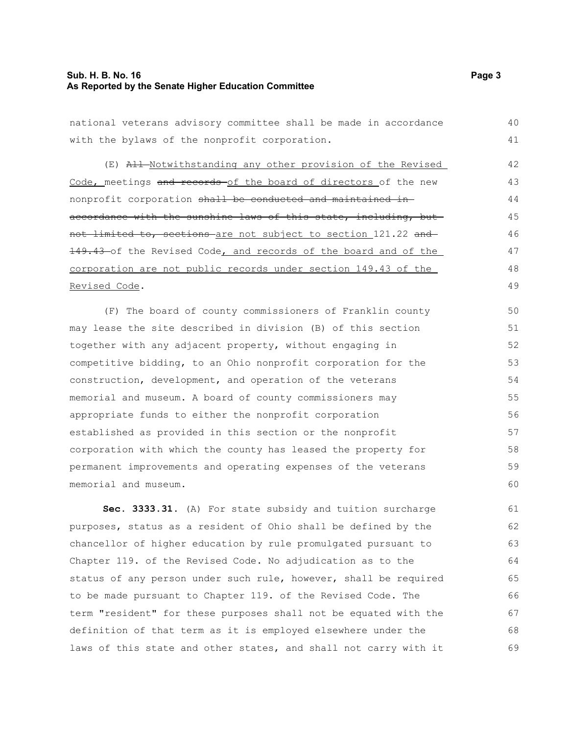#### **Sub. H. B. No. 16 Page 3 As Reported by the Senate Higher Education Committee**

national veterans advisory committee shall be made in accordance with the bylaws of the nonprofit corporation. 40 41

(E) All Notwithstanding any other provision of the Revised Code, meetings and records of the board of directors of the new nonprofit corporation shall be conducted and maintained inaccordance with the sunshine laws of this state, including, butnot limited to, sections are not subject to section 121.22 and 149.43-of the Revised Code, and records of the board and of the corporation are not public records under section 149.43 of the Revised Code.

(F) The board of county commissioners of Franklin county may lease the site described in division (B) of this section together with any adjacent property, without engaging in competitive bidding, to an Ohio nonprofit corporation for the construction, development, and operation of the veterans memorial and museum. A board of county commissioners may appropriate funds to either the nonprofit corporation established as provided in this section or the nonprofit corporation with which the county has leased the property for permanent improvements and operating expenses of the veterans memorial and museum.

**Sec. 3333.31.** (A) For state subsidy and tuition surcharge purposes, status as a resident of Ohio shall be defined by the chancellor of higher education by rule promulgated pursuant to Chapter 119. of the Revised Code. No adjudication as to the status of any person under such rule, however, shall be required to be made pursuant to Chapter 119. of the Revised Code. The term "resident" for these purposes shall not be equated with the definition of that term as it is employed elsewhere under the laws of this state and other states, and shall not carry with it 61 62 63 64 65 66 67 68 69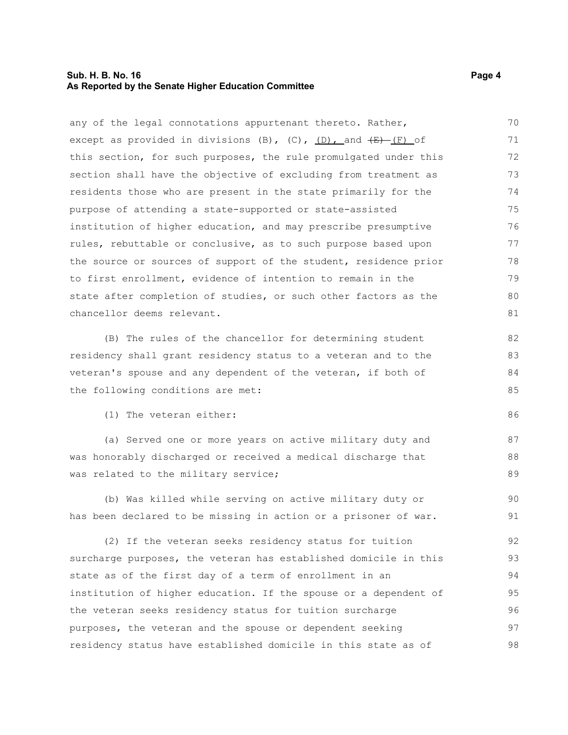#### **Sub. H. B. No. 16 Page 4 As Reported by the Senate Higher Education Committee**

any of the legal connotations appurtenant thereto. Rather, except as provided in divisions (B), (C),  $(D)$ , and  $(E)$  (F) of this section, for such purposes, the rule promulgated under this section shall have the objective of excluding from treatment as residents those who are present in the state primarily for the purpose of attending a state-supported or state-assisted institution of higher education, and may prescribe presumptive rules, rebuttable or conclusive, as to such purpose based upon the source or sources of support of the student, residence prior to first enrollment, evidence of intention to remain in the state after completion of studies, or such other factors as the chancellor deems relevant. 70 71 72 73 74 75 76 77 78 79 80 81

(B) The rules of the chancellor for determining student residency shall grant residency status to a veteran and to the veteran's spouse and any dependent of the veteran, if both of the following conditions are met:

(1) The veteran either:

(a) Served one or more years on active military duty and was honorably discharged or received a medical discharge that was related to the military service;

(b) Was killed while serving on active military duty or has been declared to be missing in action or a prisoner of war. 90 91

(2) If the veteran seeks residency status for tuition surcharge purposes, the veteran has established domicile in this state as of the first day of a term of enrollment in an institution of higher education. If the spouse or a dependent of the veteran seeks residency status for tuition surcharge purposes, the veteran and the spouse or dependent seeking residency status have established domicile in this state as of 92 93 94 95 96 97 98

86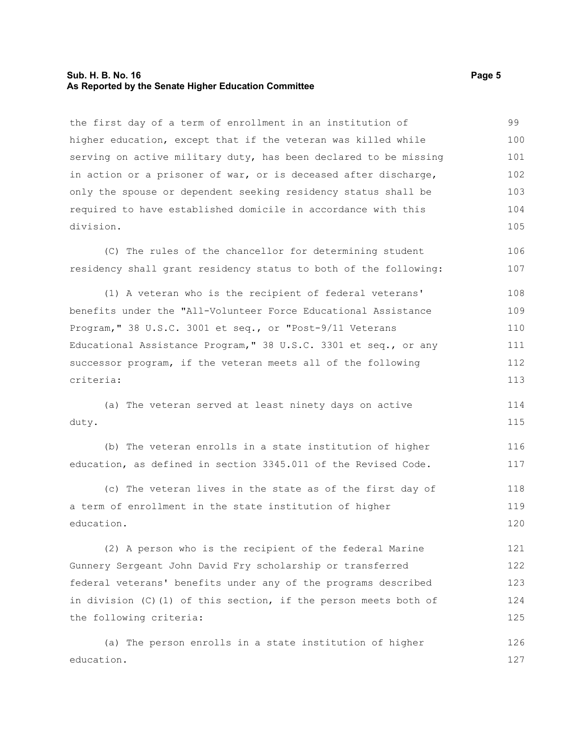#### **Sub. H. B. No. 16 Page 5 As Reported by the Senate Higher Education Committee**

the first day of a term of enrollment in an institution of higher education, except that if the veteran was killed while serving on active military duty, has been declared to be missing in action or a prisoner of war, or is deceased after discharge, only the spouse or dependent seeking residency status shall be required to have established domicile in accordance with this division. 99 100 101 102 103 104 105

(C) The rules of the chancellor for determining student residency shall grant residency status to both of the following: 106 107

(1) A veteran who is the recipient of federal veterans' benefits under the "All-Volunteer Force Educational Assistance Program," 38 U.S.C. 3001 et seq., or "Post-9/11 Veterans Educational Assistance Program," 38 U.S.C. 3301 et seq., or any successor program, if the veteran meets all of the following criteria: 108 109 110 111 112 113

(a) The veteran served at least ninety days on active duty. 114 115

(b) The veteran enrolls in a state institution of higher education, as defined in section 3345.011 of the Revised Code. 116 117

(c) The veteran lives in the state as of the first day of a term of enrollment in the state institution of higher education. 118 119 120

(2) A person who is the recipient of the federal Marine Gunnery Sergeant John David Fry scholarship or transferred federal veterans' benefits under any of the programs described in division (C)(1) of this section, if the person meets both of the following criteria: 121 122 123 124 125

(a) The person enrolls in a state institution of higher education. 126 127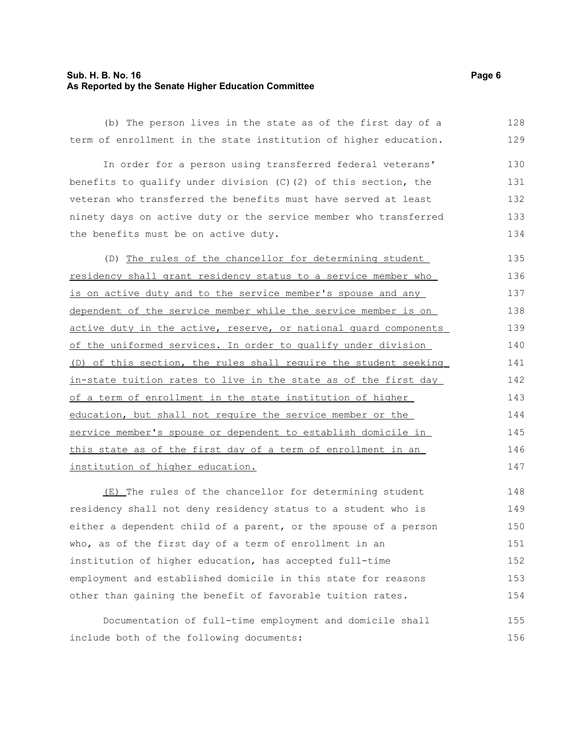#### **Sub. H. B. No. 16 Page 6 As Reported by the Senate Higher Education Committee**

(b) The person lives in the state as of the first day of a term of enrollment in the state institution of higher education. 128 129

In order for a person using transferred federal veterans' benefits to qualify under division (C)(2) of this section, the veteran who transferred the benefits must have served at least ninety days on active duty or the service member who transferred the benefits must be on active duty. 130 131 132 133 134

(D) The rules of the chancellor for determining student residency shall grant residency status to a service member who is on active duty and to the service member's spouse and any dependent of the service member while the service member is on active duty in the active, reserve, or national quard components of the uniformed services . In order to qualify under division (D) of this section, the rules shall require the student seeking in-state tuition rates to live in the state as of the first day of a term of enrollment in the state institution of higher education, but shall not require the service member or the service member's spouse or dependent to establish domicile in this state as of the first day of a term of enrollment in an institution of higher education. 135 136 137 138 139 140 141 142 143 144 145 146 147

(E) The rules of the chancellor for determining student residency shall not deny residency status to a student who is either a dependent child of a parent, or the spouse of a person who, as of the first day of a term of enrollment in an institution of higher education, has accepted full-time employment and established domicile in this state for reasons other than gaining the benefit of favorable tuition rates. 148 149 150 151 152 153 154

Documentation of full-time employment and domicile shall include both of the following documents: 155 156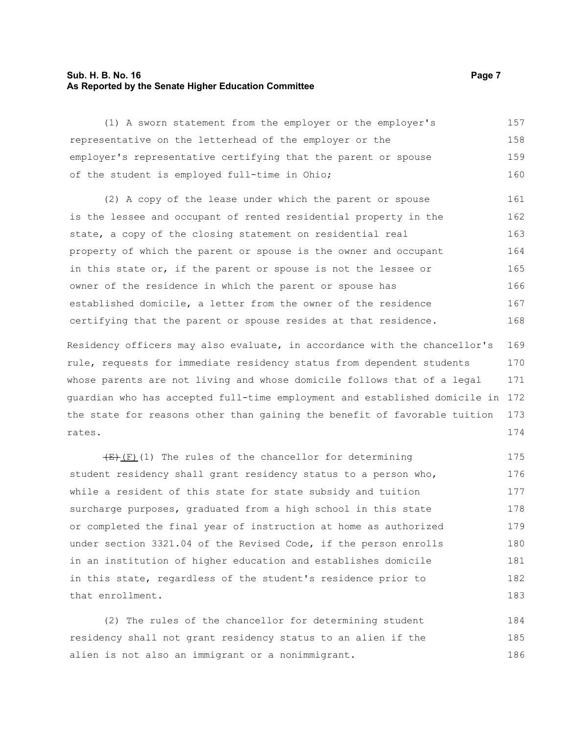#### **Sub. H. B. No. 16 Page 7 As Reported by the Senate Higher Education Committee**

(1) A sworn statement from the employer or the employer's representative on the letterhead of the employer or the employer's representative certifying that the parent or spouse of the student is employed full-time in Ohio; 157 158 159 160

(2) A copy of the lease under which the parent or spouse is the lessee and occupant of rented residential property in the state, a copy of the closing statement on residential real property of which the parent or spouse is the owner and occupant in this state or, if the parent or spouse is not the lessee or owner of the residence in which the parent or spouse has established domicile, a letter from the owner of the residence certifying that the parent or spouse resides at that residence. 161 162 163 164 165 166 167 168

Residency officers may also evaluate, in accordance with the chancellor's rule, requests for immediate residency status from dependent students whose parents are not living and whose domicile follows that of a legal guardian who has accepted full-time employment and established domicile in 172 the state for reasons other than gaining the benefit of favorable tuition rates. 169 170 171 173 174

 $(E)$ (F)(1) The rules of the chancellor for determining student residency shall grant residency status to a person who, while a resident of this state for state subsidy and tuition surcharge purposes, graduated from a high school in this state or completed the final year of instruction at home as authorized under section 3321.04 of the Revised Code, if the person enrolls in an institution of higher education and establishes domicile in this state, regardless of the student's residence prior to that enrollment. 175 176 177 178 179 180 181 182 183

(2) The rules of the chancellor for determining student residency shall not grant residency status to an alien if the alien is not also an immigrant or a nonimmigrant. 184 185 186